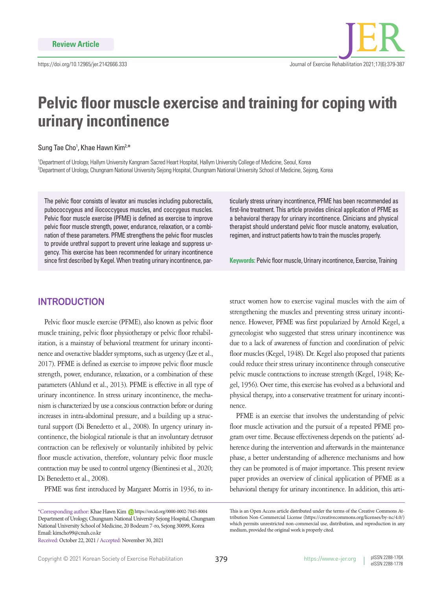# **Pelvic floor muscle exercise and training for coping with urinary incontinence**

### Sung Tae Cho<sup>1</sup>, Khae Hawn Kim<sup>2,\*</sup>

1 Department of Urology, Hallym University Kangnam Sacred Heart Hospital, Hallym University College of Medicine, Seoul, Korea 2 Department of Urology, Chungnam National University Sejong Hospital, Chungnam National University School of Medicine, Sejong, Korea

The pelvic floor consists of levator ani muscles including puborectalis, pubococcygeus and iliococcygeus muscles, and coccygeus muscles. Pelvic floor muscle exercise (PFME) is defined as exercise to improve pelvic floor muscle strength, power, endurance, relaxation, or a combination of these parameters. PFME strengthens the pelvic floor muscles to provide urethral support to prevent urine leakage and suppress urgency. This exercise has been recommended for urinary incontinence since first described by Kegel. When treating urinary incontinence, par-

## **INTRODUCTION**

Pelvic floor muscle exercise (PFME), also known as pelvic floor muscle training, pelvic floor physiotherapy or pelvic floor rehabilitation, is a mainstay of behavioral treatment for urinary incontinence and overactive bladder symptoms, such as urgency (Lee et al., 2017). PFME is defined as exercise to improve pelvic floor muscle strength, power, endurance, relaxation, or a combination of these parameters (Ahlund et al., 2013). PFME is effective in all type of urinary incontinence. In stress urinary incontinence, the mechanism is characterized by use a conscious contraction before or during increases in intra-abdominal pressure, and a building up a structural support (Di Benedetto et al., 2008). In urgency urinary incontinence, the biological rationale is that an involuntary detrusor contraction can be reflexively or voluntarily inhibited by pelvic floor muscle activation, therefore, voluntary pelvic floor muscle contraction may be used to control urgency (Bientinesi et al., 2020; Di Benedetto et al., 2008).

PFME was first introduced by Margaret Morris in 1936, to in-

ticularly stress urinary incontinence, PFME has been recommended as first-line treatment. This article provides clinical application of PFME as a behavioral therapy for urinary incontinence. Clinicians and physical therapist should understand pelvic floor muscle anatomy, evaluation, regimen, and instruct patients how to train the muscles properly.

**Keywords:** Pelvic floor muscle, Urinary incontinence, Exercise, Training

struct women how to exercise vaginal muscles with the aim of strengthening the muscles and preventing stress urinary incontinence. However, PFME was first popularized by Arnold Kegel, a gynecologist who suggested that stress urinary incontinence was due to a lack of awareness of function and coordination of pelvic floor muscles (Kegel, 1948). Dr. Kegel also proposed that patients could reduce their stress urinary incontinence through consecutive pelvic muscle contractions to increase strength (Kegel, 1948; Kegel, 1956). Over time, this exercise has evolved as a behavioral and physical therapy, into a conservative treatment for urinary incontinence.

PFME is an exercise that involves the understanding of pelvic floor muscle activation and the pursuit of a repeated PFME program over time. Because effectiveness depends on the patients' adherence during the intervention and afterwards in the maintenance phase, a better understanding of adherence mechanisms and how they can be promoted is of major importance. This present review paper provides an overview of clinical application of PFME as a behavioral therapy for urinary incontinence. In addition, this arti-

<sup>\*</sup>Corresponding author: Khae Hawn Kim (D https://orcid.org/0000-0002-7045-8004 Department of Urology, Chungnam National University Sejong Hospital, Chungnam National University School of Medicine, 20 Bodeum 7-ro, Sejong 30099, Korea Email: kimcho99@cnuh.co.kr

Received: October 22, 2021 / Accepted: November 30, 2021

This is an Open Access article distributed under the terms of the Creative Commons Attribution Non-Commercial License (https://creativecommons.org/licenses/by-nc/4.0/) which permits unrestricted non-commercial use, distribution, and reproduction in any medium, provided the original work is properly cited.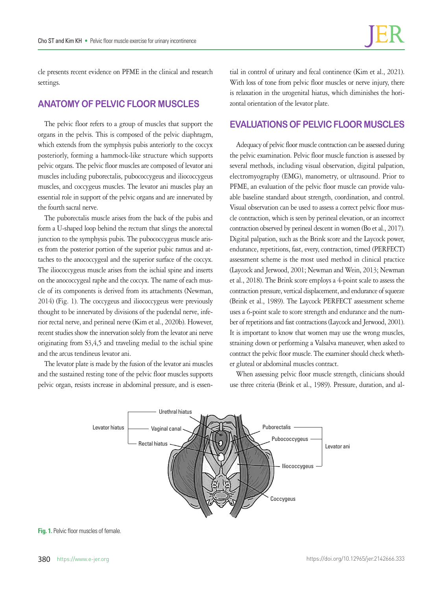cle presents recent evidence on PFME in the clinical and research settings.

## **ANATOMY OF PELVIC FLOOR MUSCLES**

The pelvic floor refers to a group of muscles that support the organs in the pelvis. This is composed of the pelvic diaphragm, which extends from the symphysis pubis anteriorly to the coccyx posteriorly, forming a hammock-like structure which supports pelvic organs. The pelvic floor muscles are composed of levator ani muscles including puborectalis, pubococcygeus and iliococcygeus muscles, and coccygeus muscles. The levator ani muscles play an essential role in support of the pelvic organs and are innervated by the fourth sacral nerve.

The puborectalis muscle arises from the back of the pubis and form a U-shaped loop behind the rectum that slings the anorectal junction to the symphysis pubis. The pubococcygeus muscle arises from the posterior portion of the superior pubic ramus and attaches to the anococcygeal and the superior surface of the coccyx. The iliococcygeus muscle arises from the ischial spine and inserts on the anococcygeal raphe and the coccyx. The name of each muscle of its components is derived from its attachments (Newman, 2014) (Fig. 1). The coccygeus and iliococcygeus were previously thought to be innervated by divisions of the pudendal nerve, inferior rectal nerve, and perineal nerve (Kim et al., 2020b). However, recent studies show the innervation solely from the levator ani nerve originating from S3,4,5 and traveling medial to the ischial spine and the arcus tendineus levator ani.

The levator plate is made by the fusion of the levator ani muscles and the sustained resting tone of the pelvic floor muscles supports pelvic organ, resists increase in abdominal pressure, and is essential in control of urinary and fecal continence (Kim et al., 2021). With loss of tone from pelvic floor muscles or nerve injury, there is relaxation in the urogenital hiatus, which diminishes the horizontal orientation of the levator plate.

## **EVALUATIONS OF PELVIC FLOOR MUSCLES**

Adequacy of pelvic floor muscle contraction can be assessed during the pelvic examination. Pelvic floor muscle function is assessed by several methods, including visual observation, digital palpation, electromyography (EMG), manometry, or ultrasound. Prior to PFME, an evaluation of the pelvic floor muscle can provide valuable baseline standard about strength, coordination, and control. Visual observation can be used to assess a correct pelvic floor muscle contraction, which is seen by perineal elevation, or an incorrect contraction observed by perineal descent in women (Bo et al., 2017). Digital palpation, such as the Brink score and the Laycock power, endurance, repetitions, fast, every, contraction, timed (PERFECT) assessment scheme is the most used method in clinical practice (Laycock and Jerwood, 2001; Newman and Wein, 2013; Newman et al., 2018). The Brink score employs a 4-point scale to assess the contraction pressure, vertical displacement, and endurance of squeeze (Brink et al., 1989). The Laycock PERFECT assessment scheme uses a 6-point scale to score strength and endurance and the number of repetitions and fast contractions (Laycock and Jerwood, 2001). It is important to know that women may use the wrong muscles, straining down or performing a Valsalva maneuver, when asked to contract the pelvic floor muscle. The examiner should check whether gluteal or abdominal muscles contract.

When assessing pelvic floor muscle strength, clinicians should use three criteria (Brink et al., 1989). Pressure, duration, and al-



**Fig. 1.** Pelvic floor muscles of female.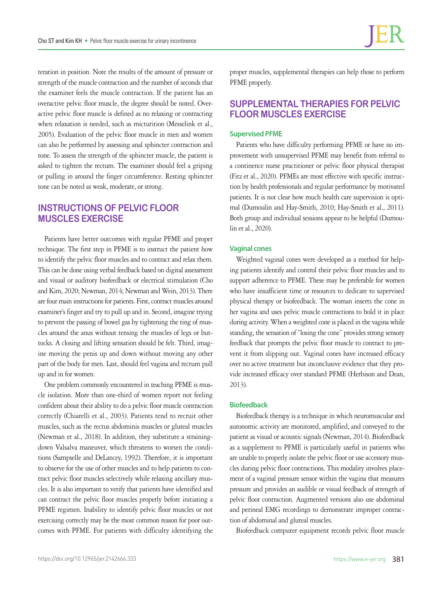teration in position. Note the results of the amount of pressure or strength of the muscle contraction and the number of seconds that the examiner feels the muscle contraction. If the patient has an overactive pelvic floor muscle, the degree should be noted. Overactive pelvic floor muscle is defined as no relaxing or contracting when relaxation is needed, such as micturition (Messelink et al., 2005). Evaluation of the pelvic floor muscle in men and women can also be performed by assessing anal sphincter contraction and tone. To assess the strength of the sphincter muscle, the patient is asked to tighten the rectum. The examiner should feel a griping or pulling in around the finger circumference. Resting sphincter tone can be noted as weak, moderate, or strong.

## **INSTRUCTIONS OF PELVIC FLOOR MUSCLES EXERCISE**

Patients have better outcomes with regular PFME and proper technique. The first step in PFME is to instruct the patient how to identify the pelvic floor muscles and to contract and relax them. This can be done using verbal feedback based on digital assessment and visual or auditory biofeedback or electrical stimulation (Cho and Kim, 2020; Newman, 2014; Newman and Wein, 2013). There are four main instructions for patients. First, contract muscles around examiner's finger and try to pull up and in. Second, imagine trying to prevent the passing of bowel gas by tightening the ring of muscles around the anus without tensing the muscles of legs or buttocks. A closing and lifting sensation should be felt. Third, imagine moving the penis up and down without moving any other part of the body for men. Last, should feel vagina and rectum pull up and in for women.

One problem commonly encountered in teaching PFME is muscle isolation. More than one-third of women report not feeling confident about their ability to do a pelvic floor muscle contraction correctly (Chiarelli et al., 2003). Patients tend to recruit other muscles, such as the rectus abdominis muscles or gluteal muscles (Newman et al., 2018). In addition, they substitute a strainingdown Valsalva maneuver, which threatens to worsen the conditions (Sampselle and DeLancey, 1992). Therefore, it is important to observe for the use of other muscles and to help patients to contract pelvic floor muscles selectively while relaxing ancillary muscles. It is also important to verify that patients have identified and can contract the pelvic floor muscles properly before initiating a PFME regimen. Inability to identify pelvic floor muscles or not exercising correctly may be the most common reason for poor outcomes with PFME. For patients with difficulty identifying the

proper muscles, supplemental therapies can help those to perform PFME properly.

## **SUPPLEMENTAL THERAPIES FOR PELVIC FLOOR MUSCLES EXERCISE**

## **Supervised PFME**

Patients who have difficulty performing PFME or have no improvement with unsupervised PFME may benefit from referral to a continence nurse practitioner or pelvic floor physical therapist (Fitz et al., 2020). PFMEs are most effective with specific instruction by health professionals and regular performance by motivated patients. It is not clear how much health care supervision is optimal (Dumoulin and Hay-Smith, 2010; Hay-Smith et al., 2011). Both group and individual sessions appear to be helpful (Dumoulin et al., 2020).

### **Vaginal cones**

Weighted vaginal cones were developed as a method for helping patients identify and control their pelvic floor muscles and to support adherence to PFME. These may be preferable for women who have insufficient time or resources to dedicate to supervised physical therapy or biofeedback. The woman inserts the cone in her vagina and uses pelvic muscle contractions to hold it in place during activity. When a weighted cone is placed in the vagina while standing, the sensation of "losing the cone" provides strong sensory feedback that prompts the pelvic floor muscle to contract to prevent it from slipping out. Vaginal cones have increased efficacy over no active treatment but inconclusive evidence that they provide increased efficacy over standard PFME (Herbison and Dean, 2013).

#### **Biofeedback**

Biofeedback therapy is a technique in which neuromuscular and autonomic activity are monitored, amplified, and conveyed to the patient as visual or acoustic signals (Newman, 2014). Biofeedback as a supplement to PFME is particularly useful in patients who are unable to properly isolate the pelvic floor or use accessory muscles during pelvic floor contractions. This modality involves placement of a vaginal pressure sensor within the vagina that measures pressure and provides an audible or visual feedback of strength of pelvic floor contraction. Augmented versions also use abdominal and perineal EMG recordings to demonstrate improper contraction of abdominal and gluteal muscles.

Biofeedback computer equipment records pelvic floor muscle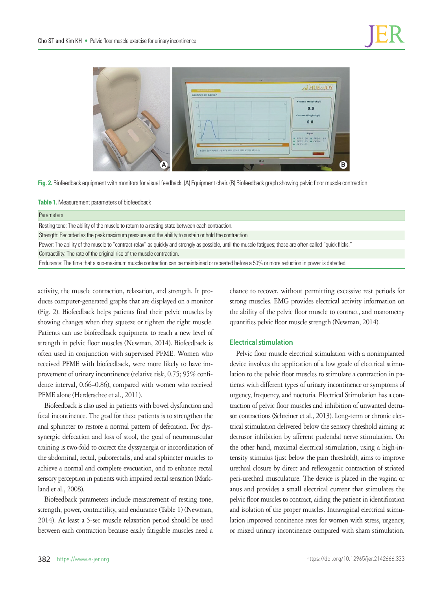

**Fig. 2.** Biofeedback equipment with monitors for visual feedback. (A) Equipment chair. (B) Biofeedback graph showing pelvic floor muscle contraction.

**Table 1.** Measurement parameters of biofeedback

#### Parameters

Resting tone: The ability of the muscle to return to a resting state between each contraction.

Strength: Recorded as the peak maximum pressure and the ability to sustain or hold the contraction.

Power: The ability of the muscle to "contract-relax" as quickly and strongly as possible, until the muscle fatigues; these are often called "quick flicks."

Contractility: The rate of the original rise of the muscle contraction.

Endurance: The time that a sub-maximum muscle contraction can be maintained or repeated before a 50% or more reduction in power is detected.

activity, the muscle contraction, relaxation, and strength. It produces computer-generated graphs that are displayed on a monitor (Fig. 2). Biofeedback helps patients find their pelvic muscles by showing changes when they squeeze or tighten the right muscle. Patients can use biofeedback equipment to reach a new level of strength in pelvic floor muscles (Newman, 2014). Biofeedback is often used in conjunction with supervised PFME. Women who received PFME with biofeedback, were more likely to have improvement of urinary incontinence (relative risk, 0.75; 95% confidence interval, 0.66–0.86), compared with women who received PFME alone (Herderschee et al., 2011).

Biofeedback is also used in patients with bowel dysfunction and fecal incontinence. The goal for these patients is to strengthen the anal sphincter to restore a normal pattern of defecation. For dyssynergic defecation and loss of stool, the goal of neuromuscular training is two-fold to correct the dyssynergia or incoordination of the abdominal, rectal, puborectalis, and anal sphincter muscles to achieve a normal and complete evacuation, and to enhance rectal sensory perception in patients with impaired rectal sensation (Markland et al., 2008).

Biofeedback parameters include measurement of resting tone, strength, power, contractility, and endurance (Table 1) (Newman, 2014). At least a 5-sec muscle relaxation period should be used between each contraction because easily fatigable muscles need a

chance to recover, without permitting excessive rest periods for strong muscles. EMG provides electrical activity information on the ability of the pelvic floor muscle to contract, and manometry quantifies pelvic floor muscle strength (Newman, 2014).

#### **Electrical stimulation**

Pelvic floor muscle electrical stimulation with a nonimplanted device involves the application of a low grade of electrical stimulation to the pelvic floor muscles to stimulate a contraction in patients with different types of urinary incontinence or symptoms of urgency, frequency, and nocturia. Electrical Stimulation has a contraction of pelvic floor muscles and inhibition of unwanted detrusor contractions (Schreiner et al., 2013). Long-term or chronic electrical stimulation delivered below the sensory threshold aiming at detrusor inhibition by afferent pudendal nerve stimulation. On the other hand, maximal electrical stimulation, using a high-intensity stimulus (just below the pain threshold), aims to improve urethral closure by direct and reflexogenic contraction of striated peri-urethral musculature. The device is placed in the vagina or anus and provides a small electrical current that stimulates the pelvic floor muscles to contract, aiding the patient in identification and isolation of the proper muscles. Intravaginal electrical stimulation improved continence rates for women with stress, urgency, or mixed urinary incontinence compared with sham stimulation.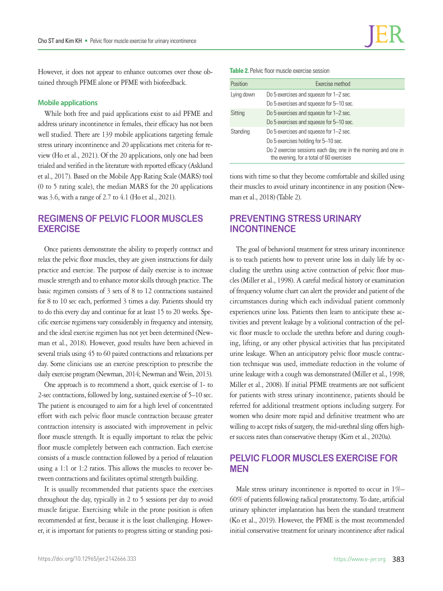However, it does not appear to enhance outcomes over those obtained through PFME alone or PFME with biofeedback.

### **Mobile applications**

While both free and paid applications exist to aid PFME and address urinary incontinence in females, their efficacy has not been well studied. There are 139 mobile applications targeting female stress urinary incontinence and 20 applications met criteria for review (Ho et al., 2021). Of the 20 applications, only one had been trialed and verified in the literature with reported efficacy (Asklund et al., 2017). Based on the Mobile App Rating Scale (MARS) tool (0 to 5 rating scale), the median MARS for the 20 applications was 3.6, with a range of 2.7 to 4.1 (Ho et al., 2021).

## **REGIMENS OF PELVIC FLOOR MUSCLES EXERCISE**

Once patients demonstrate the ability to properly contract and relax the pelvic floor muscles, they are given instructions for daily practice and exercise. The purpose of daily exercise is to increase muscle strength and to enhance motor skills through practice. The basic regimen consists of 3 sets of 8 to 12 contractions sustained for 8 to 10 sec each, performed 3 times a day. Patients should try to do this every day and continue for at least 15 to 20 weeks. Specific exercise regimens vary considerably in frequency and intensity, and the ideal exercise regimen has not yet been determined (Newman et al., 2018). However, good results have been achieved in several trials using 45 to 60 paired contractions and relaxations per day. Some clinicians use an exercise prescription to prescribe the daily exercise program (Newman, 2014; Newman and Wein, 2013).

One approach is to recommend a short, quick exercise of 1- to 2-sec contractions, followed by long, sustained exercise of 5–10 sec. The patient is encouraged to aim for a high level of concentrated effort with each pelvic floor muscle contraction because greater contraction intensity is associated with improvement in pelvic floor muscle strength. It is equally important to relax the pelvic floor muscle completely between each contraction. Each exercise consists of a muscle contraction followed by a period of relaxation using a 1:1 or 1:2 ratios. This allows the muscles to recover between contractions and facilitates optimal strength building.

It is usually recommended that patients space the exercises throughout the day, typically in 2 to 5 sessions per day to avoid muscle fatigue. Exercising while in the prone position is often recommended at first, because it is the least challenging. However, it is important for patients to progress sitting or standing posi**Table 2.** Pelvic floor muscle exercise session

| Position   | Exercise method                                                                                            |
|------------|------------------------------------------------------------------------------------------------------------|
| Lying down | Do 5 exercises and squeeze for 1-2 sec.                                                                    |
|            | Do 5 exercises and squeeze for 5-10 sec.                                                                   |
| Sitting    | Do 5 exercises and squeeze for 1-2 sec.                                                                    |
|            | Do 5 exercises and squeeze for 5-10 sec.                                                                   |
| Standing   | Do 5 exercises and squeeze for 1-2 sec.                                                                    |
|            | Do 5 exercises holding for 5-10 sec.                                                                       |
|            | Do 2 exercise sessions each day, one in the morning and one in<br>the evening, for a total of 60 exercises |

tions with time so that they become comfortable and skilled using their muscles to avoid urinary incontinence in any position (Newman et al., 2018) (Table 2).

# **PREVENTING STRESS URINARY INCONTINENCE**

The goal of behavioral treatment for stress urinary incontinence is to teach patients how to prevent urine loss in daily life by occluding the urethra using active contraction of pelvic floor muscles (Miller et al., 1998). A careful medical history or examination of frequency volume chart can alert the provider and patient of the circumstances during which each individual patient commonly experiences urine loss. Patients then learn to anticipate these activities and prevent leakage by a volitional contraction of the pelvic floor muscle to occlude the urethra before and during coughing, lifting, or any other physical activities that has precipitated urine leakage. When an anticipatory pelvic floor muscle contraction technique was used, immediate reduction in the volume of urine leakage with a cough was demonstrated (Miller et al., 1998; Miller et al., 2008). If initial PFME treatments are not sufficient for patients with stress urinary incontinence, patients should be referred for additional treatment options including surgery. For women who desire more rapid and definitive treatment who are willing to accept risks of surgery, the mid-urethral sling offers higher success rates than conservative therapy (Kim et al., 2020a).

## **PELVIC FLOOR MUSCLES EXERCISE FOR MEN**

Male stress urinary incontinence is reported to occur in 1%– 60% of patients following radical prostatectomy. To date, artificial urinary sphincter implantation has been the standard treatment (Ko et al., 2019). However, the PFME is the most recommended initial conservative treatment for urinary incontinence after radical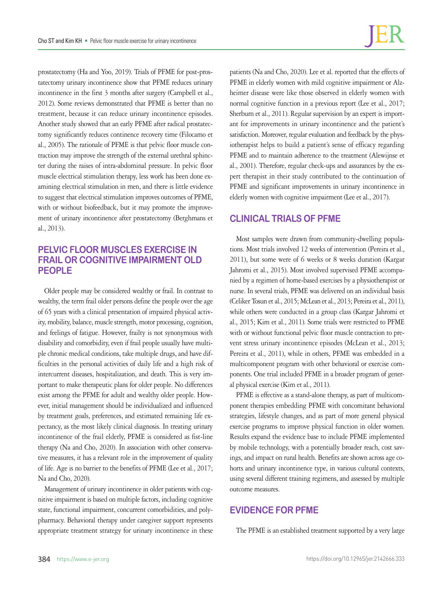prostatectomy (Ha and Yoo, 2019). Trials of PFME for post-prostatectomy urinary incontinence show that PFME reduces urinary incontinence in the first 3 months after surgery (Campbell et al., 2012). Some reviews demonstrated that PFME is better than no treatment, because it can reduce urinary incontinence episodes. Another study showed that an early PFME after radical prostatectomy significantly reduces continence recovery time (Filocamo et al., 2005). The rationale of PFME is that pelvic floor muscle contraction may improve the strength of the external urethral sphincter during the raises of intra-abdominal pressure. In pelvic floor muscle electrical stimulation therapy, less work has been done examining electrical stimulation in men, and there is little evidence to suggest that electrical stimulation improves outcomes of PFME, with or without biofeedback, but it may promote the improvement of urinary incontinence after prostatectomy (Berghmans et al., 2013).

## **PELVIC FLOOR MUSCLES EXERCISE IN FRAIL OR COGNITIVE IMPAIRMENT OLD PEOPLE**

Older people may be considered wealthy or frail. In contrast to wealthy, the term frail older persons define the people over the age of 65 years with a clinical presentation of impaired physical activity, mobility, balance, muscle strength, motor processing, cognition, and feelings of fatigue. However, frailty is not synonymous with disability and comorbidity, even if frail people usually have multiple chronic medical conditions, take multiple drugs, and have difficulties in the personal activities of daily life and a high risk of intercurrent diseases, hospitalization, and death. This is very important to make therapeutic plans for older people. No differences exist among the PFME for adult and wealthy older people. However, initial management should be individualized and influenced by treatment goals, preferences, and estimated remaining life expectancy, as the most likely clinical diagnosis. In treating urinary incontinence of the frail elderly, PFME is considered as fist-line therapy (Na and Cho, 2020). In association with other conservative measures, it has a relevant role in the improvement of quality of life. Age is no barrier to the benefits of PFME (Lee et al., 2017; Na and Cho, 2020).

Management of urinary incontinence in older patients with cognitive impairment is based on multiple factors, including cognitive state, functional impairment, concurrent comorbidities, and polypharmacy. Behavioral therapy under caregiver support represents appropriate treatment strategy for urinary incontinence in these

patients (Na and Cho, 2020). Lee et al. reported that the effects of PFME in elderly women with mild cognitive impairment or Alzheimer disease were like those observed in elderly women with normal cognitive function in a previous report (Lee et al., 2017; Sherburn et al., 2011). Regular supervision by an expert is important for improvements in urinary incontinence and the patient's satisfaction. Moreover, regular evaluation and feedback by the physiotherapist helps to build a patient's sense of efficacy regarding PFME and to maintain adherence to the treatment (Alewijnse et al., 2001). Therefore, regular check-ups and assurances by the expert therapist in their study contributed to the continuation of PFME and significant improvements in urinary incontinence in elderly women with cognitive impairment (Lee et al., 2017).

## **CLINICAL TRIALS OF PFME**

Most samples were drawn from community-dwelling populations. Most trials involved 12 weeks of intervention (Pereira et al., 2011), but some were of 6 weeks or 8 weeks duration (Kargar Jahromi et al., 2015). Most involved supervised PFME accompanied by a regimen of home-based exercises by a physiotherapist or nurse. In several trials, PFME was delivered on an individual basis (Celiker Tosun et al., 2015; McLean et al., 2013; Pereira et al., 2011), while others were conducted in a group class (Kargar Jahromi et al., 2015; Kim et al., 2011). Some trials were restricted to PFME with or without functional pelvic floor muscle contraction to prevent stress urinary incontinence episodes (McLean et al., 2013; Pereira et al., 2011), while in others, PFME was embedded in a multicomponent program with other behavioral or exercise components. One trial included PFME in a broader program of general physical exercise (Kim et al., 2011).

PFME is effective as a stand-alone therapy, as part of multicomponent therapies embedding PFME with concomitant behavioral strategies, lifestyle changes, and as part of more general physical exercise programs to improve physical function in older women. Results expand the evidence base to include PFME implemented by mobile technology, with a potentially broader reach, cost savings, and impact on rural health. Benefits are shown across age cohorts and urinary incontinence type, in various cultural contexts, using several different training regimens, and assessed by multiple outcome measures.

## **EVIDENCE FOR PFME**

The PFME is an established treatment supported by a very large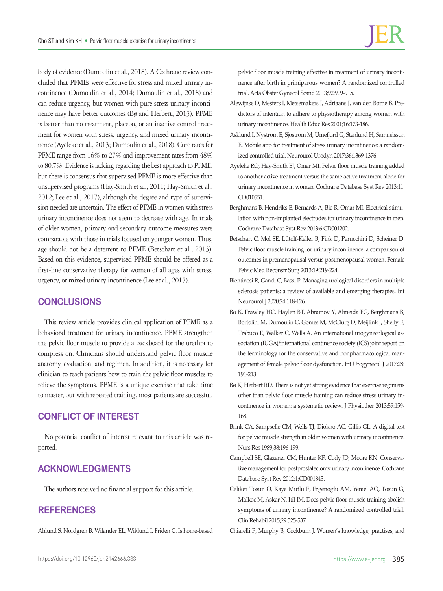body of evidence (Dumoulin et al., 2018). A Cochrane review concluded that PFMEs were effective for stress and mixed urinary incontinence (Dumoulin et al., 2014; Dumoulin et al., 2018) and can reduce urgency, but women with pure stress urinary incontinence may have better outcomes (Bø and Herbert, 2013). PFME is better than no treatment, placebo, or an inactive control treatment for women with stress, urgency, and mixed urinary incontinence (Ayeleke et al., 2013; Dumoulin et al., 2018). Cure rates for PFME range from  $16\%$  to 27% and improvement rates from  $48\%$ to 80.7%. Evidence is lacking regarding the best approach to PFME, but there is consensus that supervised PFME is more effective than unsupervised programs (Hay-Smith et al., 2011; Hay-Smith et al., 2012; Lee et al., 2017), although the degree and type of supervision needed are uncertain. The effect of PFME in women with stress urinary incontinence does not seem to decrease with age. In trials of older women, primary and secondary outcome measures were comparable with those in trials focused on younger women. Thus, age should not be a deterrent to PFME (Betschart et al., 2013). Based on this evidence, supervised PFME should be offered as a first-line conservative therapy for women of all ages with stress, urgency, or mixed urinary incontinence (Lee et al., 2017).

## **CONCLUSIONS**

This review article provides clinical application of PFME as a behavioral treatment for urinary incontinence. PFME strengthen the pelvic floor muscle to provide a backboard for the urethra to compress on. Clinicians should understand pelvic floor muscle anatomy, evaluation, and regimen. In addition, it is necessary for clinician to teach patients how to train the pelvic floor muscles to relieve the symptoms. PFME is a unique exercise that take time to master, but with repeated training, most patients are successful.

## **CONFLICT OF INTEREST**

No potential conflict of interest relevant to this article was reported.

## **ACKNOWLEDGMENTS**

The authors received no financial support for this article.

## **REFERENCES**

Ahlund S, Nordgren B, Wilander EL, Wiklund I, Friden C. Is home-based

pelvic floor muscle training effective in treatment of urinary incontinence after birth in primiparous women? A randomized controlled trial. Acta Obstet Gynecol Scand 2013;92:909-915.

- Alewijnse D, Mesters I, Metsemakers J, Adriaans J, van den Borne B. Predictors of intention to adhere to physiotherapy among women with urinary incontinence. Health Educ Res 2001;16:173-186.
- Asklund I, Nystrom E, Sjostrom M, Umefjord G, Stenlund H, Samuelsson E. Mobile app for treatment of stress urinary incontinence: a randomized controlled trial. Neurourol Urodyn 2017;36:1369-1376.
- Ayeleke RO, Hay-Smith EJ, Omar MI. Pelvic floor muscle training added to another active treatment versus the same active treatment alone for urinary incontinence in women. Cochrane Database Syst Rev 2013;11: CD010551.
- Berghmans B, Hendriks E, Bernards A, Bie R, Omar MI. Electrical stimulation with non-implanted electrodes for urinary incontinence in men. Cochrane Database Syst Rev 2013:6:CD001202.
- Betschart C, Mol SE, Lütolf-Keller B, Fink D, Perucchini D, Scheiner D. Pelvic floor muscle training for urinary incontinence: a comparison of outcomes in premenopausal versus postmenopausal women. Female Pelvic Med Reconstr Surg 2013;19:219-224.
- Bientinesi R, Gandi C, Bassi P. Managing urological disorders in multiple sclerosis patients: a review of available and emerging therapies. Int Neurourol J 2020;24:118-126.
- Bo K, Frawley HC, Haylen BT, Abramov Y, Almeida FG, Berghmans B, Bortolini M, Dumoulin C, Gomes M, McClurg D, Meijlink J, Shelly E, Trabuco E, Walker C, Wells A. An international urogynecological association (IUGA)/international continence society (ICS) joint report on the terminology for the conservative and nonpharmacological management of female pelvic floor dysfunction. Int Urogynecol J 2017;28: 191-213.
- Bø K, Herbert RD. There is not yet strong evidence that exercise regimens other than pelvic floor muscle training can reduce stress urinary incontinence in women: a systematic review. J Physiother 2013;59:159- 168.
- Brink CA, Sampselle CM, Wells TJ, Diokno AC, Gillis GL. A digital test for pelvic muscle strength in older women with urinary incontinence. Nurs Res 1989;38:196-199.
- Campbell SE, Glazener CM, Hunter KF, Cody JD, Moore KN. Conservative management for postprostatectomy urinary incontinence. Cochrane Database Syst Rev 2012;1:CD001843.
- Celiker Tosun O, Kaya Mutlu E, Ergenoglu AM, Yeniel AO, Tosun G, Malkoc M, Askar N, Itil IM. Does pelvic floor muscle training abolish symptoms of urinary incontinence? A randomized controlled trial. Clin Rehabil 2015;29:525-537.
- Chiarelli P, Murphy B, Cockburn J. Women's knowledge, practises, and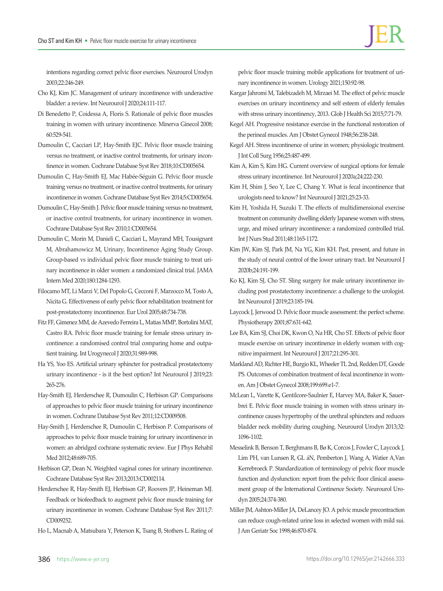intentions regarding correct pelvic floor exercises. Neurourol Urodyn 2003;22:246-249.

- Cho KJ, Kim JC. Management of urinary incontinence with underactive bladder: a review. Int Neurourol J 2020;24:111-117.
- Di Benedetto P, Coidessa A, Floris S. Rationale of pelvic floor muscles training in women with urinary incontinence. Minerva Ginecol 2008; 60:529-541.
- Dumoulin C, Cacciari LP, Hay-Smith EJC. Pelvic floor muscle training versus no treatment, or inactive control treatments, for urinary incontinence in women. Cochrane Database Syst Rev 2018;10:CD005654.
- Dumoulin C, Hay-Smith EJ, Mac Habée-Séguin G. Pelvic floor muscle training versus no treatment, or inactive control treatments, for urinary incontinence in women. Cochrane Database Syst Rev 2014;5:CD005654.
- Dumoulin C, Hay-Smith J. Pelvic floor muscle training versus no treatment, or inactive control treatments, for urinary incontinence in women. Cochrane Database Syst Rev 2010;1:CD005654.
- Dumoulin C, Morin M, Danieli C, Cacciari L, Mayrand MH, Tousignant M, Abrahamowicz M, Urinary, Incontinence Aging Study Group. Group-based vs individual pelvic floor muscle training to treat urinary incontinence in older women: a randomized clinical trial. JAMA Intern Med 2020;180:1284-1293.
- Filocamo MT, Li Marzi V, Del Popolo G, Cecconi F, Marzocco M, Tosto A, Nicita G. Effectiveness of early pelvic floor rehabilitation treatment for post-prostatectomy incontinence. Eur Urol 2005;48:734-738.
- Fitz FF, Gimenez MM, de Azevedo Ferreira L, Matias MMP, Bortolini MAT, Castro RA. Pelvic floor muscle training for female stress urinary incontinence: a randomised control trial comparing home and outpatient training. Int Urogynecol J 2020;31:989-998.
- Ha YS, Yoo ES. Artificial urinary sphincter for postradical prostatectomy urinary incontinence - is it the best option? Int Neurourol J 2019;23: 265-276.
- Hay-Smith EJ, Herderschee R, Dumoulin C, Herbison GP. Comparisons of approaches to pelvic floor muscle training for urinary incontinence in women. Cochrane Database Syst Rev 2011;12:CD009508.
- Hay-Smith J, Herderschee R, Dumoulin C, Herbison P. Comparisons of approaches to pelvic floor muscle training for urinary incontinence in women: an abridged cochrane systematic review. Eur J Phys Rehabil Med 2012;48:689-705.
- Herbison GP, Dean N. Weighted vaginal cones for urinary incontinence. Cochrane Database Syst Rev 2013;2013:CD002114.
- Herderschee R, Hay-Smith EJ, Herbison GP, Roovers JP, Heineman MJ. Feedback or biofeedback to augment pelvic floor muscle training for urinary incontinence in women. Cochrane Database Syst Rev 2011;7: CD009252.
- Ho L, Macnab A, Matsubara Y, Peterson K, Tsang B, Stothers L. Rating of

pelvic floor muscle training mobile applications for treatment of urinary incontinence in women. Urology 2021;150:92-98.

- Kargar Jahromi M, Talebizadeh M, Mirzaei M. The effect of pelvic muscle exercises on urinary incontinency and self esteem of elderly females with stress urinary incontinency, 2013. Glob J Health Sci 2015;7:71-79.
- Kegel AH. Progressive resistance exercise in the functional restoration of the perineal muscles. Am J Obstet Gynecol 1948;56:238-248.
- Kegel AH. Stress incontinence of urine in women; physiologic treatment. J Int Coll Surg 1956;25:487-499.
- Kim A, Kim S, Kim HG. Current overview of surgical options for female stress urinary incontinence. Int Neurourol J 2020a;24:222-230.
- Kim H, Shim J, Seo Y, Lee C, Chang Y. What is fecal incontinence that urologists need to know? Int Neurourol J 2021;25:23-33.
- Kim H, Yoshida H, Suzuki T. The effects of multidimensional exercise treatment on community dwelling elderly Japanese women with stress, urge, and mixed urinary incontinence: a randomized controlled trial. Int J Nurs Stud 2011;48:1165-1172.
- Kim JW, Kim SJ, Park JM, Na YG, Kim KH. Past, present, and future in the study of neural control of the lower urinary tract. Int Neurourol J 2020b;24:191-199.
- Ko KJ, Kim SJ, Cho ST. Sling surgery for male urinary incontinence including post prostatectomy incontinence: a challenge to the urologist. Int Neurourol J 2019;23:185-194.
- Laycock J, Jerwood D. Pelvic floor muscle assessment: the perfect scheme. Physiotherapy 2001;87:631-642.
- Lee BA, Kim SJ, Choi DK, Kwon O, Na HR, Cho ST. Effects of pelvic floor muscle exercise on urinary incontinence in elderly women with cognitive impairment. Int Neurourol J 2017;21:295-301.
- Markland AD, Richter HE, Burgio KL, Wheeler TL 2nd, Redden DT, Goode PS. Outcomes of combination treatment of fecal incontinence in women. Am J Obstet Gynecol 2008;199:699.e1-7.
- McLean L, Varette K, Gentilcore-Saulnier E, Harvey MA, Baker K, Sauerbrei E. Pelvic floor muscle training in women with stress urinary incontinence causes hypertrophy of the urethral sphincters and reduces bladder neck mobility during coughing. Neurourol Urodyn 2013;32: 1096-1102.
- Messelink B, Benson T, Berghmans B, Bø K, Corcos J, Fowler C, Laycock J, Lim PH, van Lunsen R, GL áN, Pemberton J, Wang A, Watier A,Van Kerrebroeck P. Standardization of terminology of pelvic floor muscle function and dysfunction: report from the pelvic floor clinical assessment group of the International Continence Society. Neurourol Urodyn 2005;24:374-380.
- Miller JM, Ashton-Miller JA, DeLancey JO. A pelvic muscle precontraction can reduce cough-related urine loss in selected women with mild sui. J Am Geriatr Soc 1998;46:870-874.